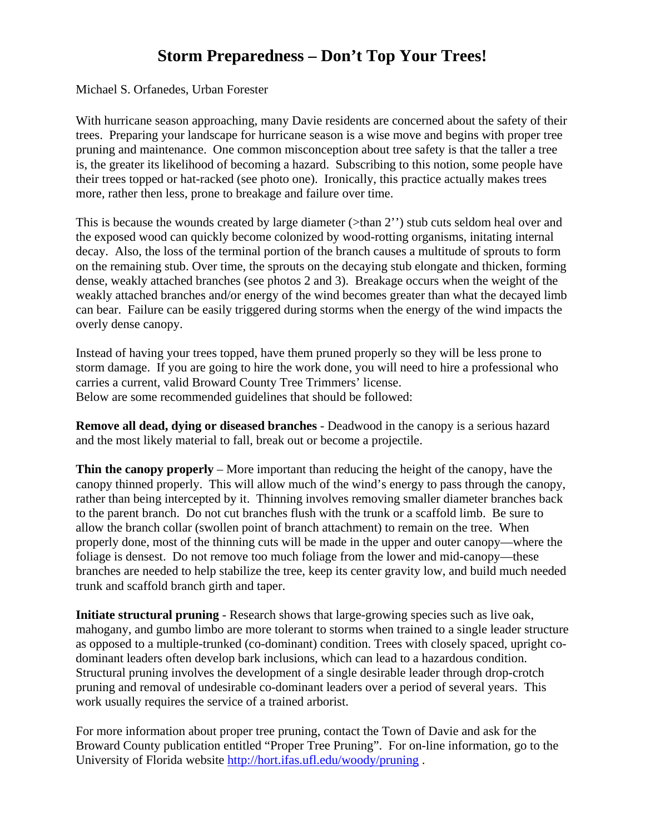## **Storm Preparedness – Don't Top Your Trees!**

Michael S. Orfanedes, Urban Forester

With hurricane season approaching, many Davie residents are concerned about the safety of their trees. Preparing your landscape for hurricane season is a wise move and begins with proper tree pruning and maintenance. One common misconception about tree safety is that the taller a tree is, the greater its likelihood of becoming a hazard. Subscribing to this notion, some people have their trees topped or hat-racked (see photo one). Ironically, this practice actually makes trees more, rather then less, prone to breakage and failure over time.

This is because the wounds created by large diameter (>than 2'') stub cuts seldom heal over and the exposed wood can quickly become colonized by wood-rotting organisms, initating internal decay. Also, the loss of the terminal portion of the branch causes a multitude of sprouts to form on the remaining stub. Over time, the sprouts on the decaying stub elongate and thicken, forming dense, weakly attached branches (see photos 2 and 3). Breakage occurs when the weight of the weakly attached branches and/or energy of the wind becomes greater than what the decayed limb can bear. Failure can be easily triggered during storms when the energy of the wind impacts the overly dense canopy.

Instead of having your trees topped, have them pruned properly so they will be less prone to storm damage. If you are going to hire the work done, you will need to hire a professional who carries a current, valid Broward County Tree Trimmers' license. Below are some recommended guidelines that should be followed:

**Remove all dead, dying or diseased branches** - Deadwood in the canopy is a serious hazard and the most likely material to fall, break out or become a projectile.

**Thin the canopy properly** – More important than reducing the height of the canopy, have the canopy thinned properly. This will allow much of the wind's energy to pass through the canopy, rather than being intercepted by it. Thinning involves removing smaller diameter branches back to the parent branch. Do not cut branches flush with the trunk or a scaffold limb. Be sure to allow the branch collar (swollen point of branch attachment) to remain on the tree. When properly done, most of the thinning cuts will be made in the upper and outer canopy—where the foliage is densest. Do not remove too much foliage from the lower and mid-canopy—these branches are needed to help stabilize the tree, keep its center gravity low, and build much needed trunk and scaffold branch girth and taper.

**Initiate structural pruning** - Research shows that large-growing species such as live oak, mahogany, and gumbo limbo are more tolerant to storms when trained to a single leader structure as opposed to a multiple-trunked (co-dominant) condition. Trees with closely spaced, upright codominant leaders often develop bark inclusions, which can lead to a hazardous condition. Structural pruning involves the development of a single desirable leader through drop-crotch pruning and removal of undesirable co-dominant leaders over a period of several years. This work usually requires the service of a trained arborist.

For more information about proper tree pruning, contact the Town of Davie and ask for the Broward County publication entitled "Proper Tree Pruning". For on-line information, go to the University of Florida website http://hort.ifas.ufl.edu/woody/pruning .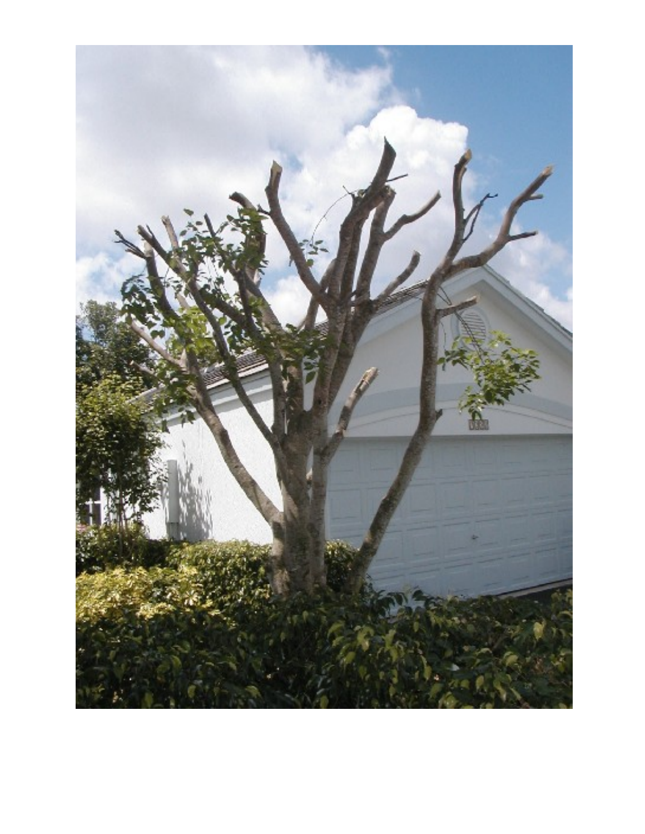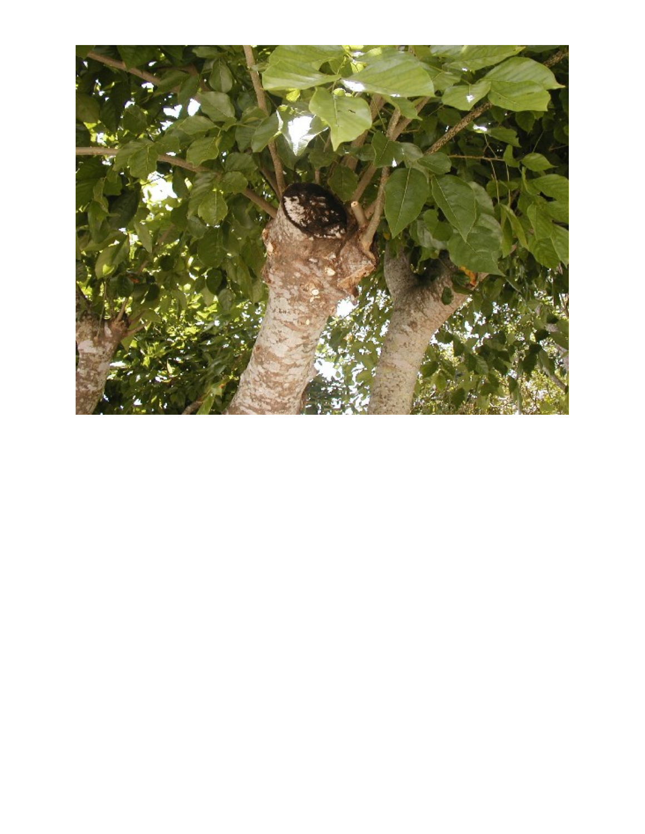